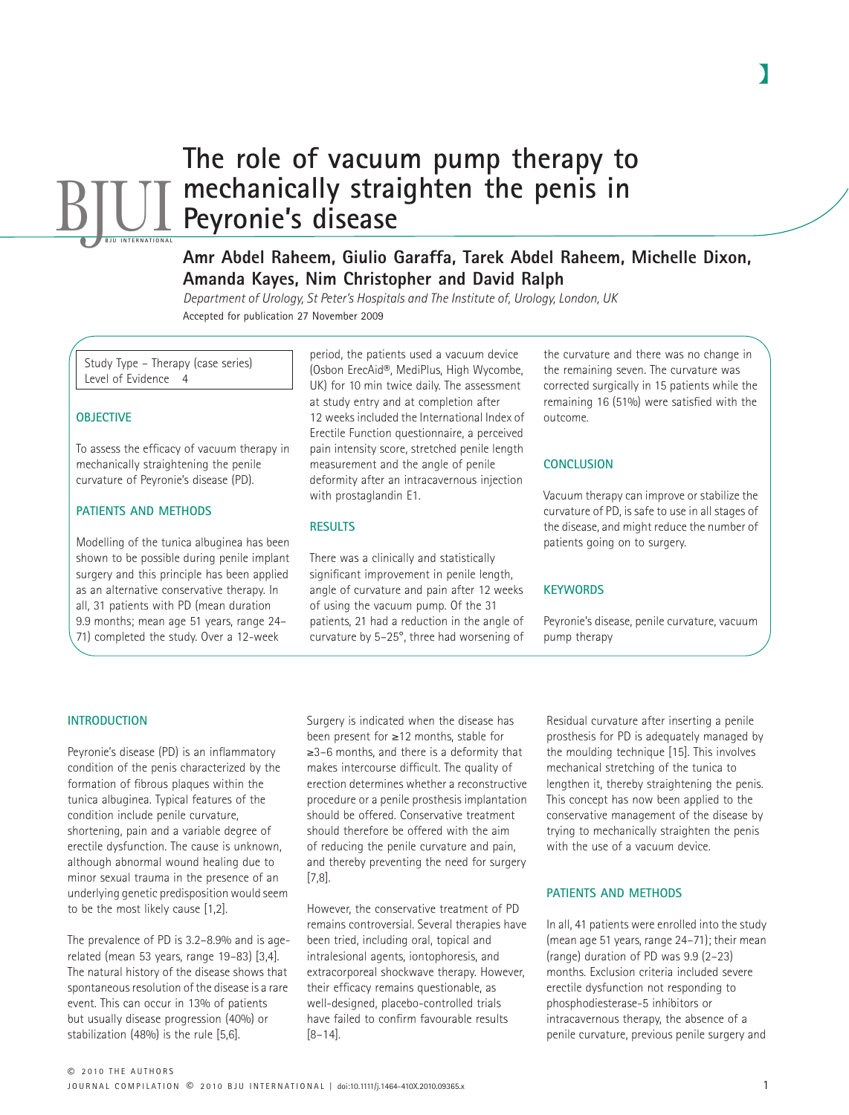# **The role of vacuum pump therapy to mechanically straighten the penis in Peyronie's disease BJUI**

# **Amr Abdel Raheem, Giulio Garaffa, Tarek Abdel Raheem, Michelle Dixon, Amanda Kayes, Nim Christopher and David Ralph**

*Department of Urology, St Peter's Hospitals and The Institute of, Urology, London, UK* Accepted for publication 27 November 2009

Study Type – Therapy (case series) Level of Evidence 4

### **OBJECTIVE**

To assess the efficacy of vacuum therapy in mechanically straightening the penile curvature of Peyronie's disease (PD).

### **PATIENTS AND METHODS**

Modelling of the tunica albuginea has been shown to be possible during penile implant surgery and this principle has been applied as an alternative conservative therapy. In all, 31 patients with PD (mean duration 9.9 months; mean age 51 years, range 24– 71) completed the study. Over a 12-week

period, the patients used a vacuum device (Osbon ErecAid®, MediPlus, High Wycombe, UK) for 10 min twice daily. The assessment at study entry and at completion after 12 weeks included the International Index of Erectile Function questionnaire, a perceived pain intensity score, stretched penile length measurement and the angle of penile deformity after an intracavernous injection with prostaglandin E1.

#### **RESULTS**

There was a clinically and statistically significant improvement in penile length, angle of curvature and pain after 12 weeks of using the vacuum pump. Of the 31 patients, 21 had a reduction in the angle of curvature by 5–25°, three had worsening of the curvature and there was no change in the remaining seven. The curvature was corrected surgically in 15 patients while the remaining 16 (51%) were satisfied with the outcome.

#### **CONCLUSION**

Vacuum therapy can improve or stabilize the curvature of PD, is safe to use in all stages of the disease, and might reduce the number of patients going on to surgery.

#### **KEYWORDS**

Peyronie's disease, penile curvature, vacuum pump therapy

#### **INTRODUCTION**

Peyronie's disease (PD) is an inflammatory condition of the penis characterized by the formation of fibrous plaques within the tunica albuginea. Typical features of the condition include penile curvature, shortening, pain and a variable degree of erectile dysfunction. The cause is unknown, although abnormal wound healing due to minor sexual trauma in the presence of an underlying genetic predisposition would seem to be the most likely cause [1,2].

The prevalence of PD is 3.2–8.9% and is agerelated (mean 53 years, range 19–83) [3,4]. The natural history of the disease shows that spontaneous resolution of the disease is a rare event. This can occur in 13% of patients but usually disease progression (40%) or stabilization (48%) is the rule [5,6].

Surgery is indicated when the disease has been present for ≥12 months, stable for ≥3–6 months, and there is a deformity that makes intercourse difficult. The quality of erection determines whether a reconstructive procedure or a penile prosthesis implantation should be offered. Conservative treatment should therefore be offered with the aim of reducing the penile curvature and pain, and thereby preventing the need for surgery [7,8].

However, the conservative treatment of PD remains controversial. Several therapies have been tried, including oral, topical and intralesional agents, iontophoresis, and extracorporeal shockwave therapy. However, their efficacy remains questionable, as well-designed, placebo-controlled trials have failed to confirm favourable results [8–14].

Residual curvature after inserting a penile prosthesis for PD is adequately managed by the moulding technique [15]. This involves mechanical stretching of the tunica to lengthen it, thereby straightening the penis. This concept has now been applied to the conservative management of the disease by trying to mechanically straighten the penis with the use of a vacuum device.

#### **PATIENTS AND METHODS**

In all, 41 patients were enrolled into the study (mean age 51 years, range 24–71); their mean (range) duration of PD was 9.9 (2–23) months. Exclusion criteria included severe erectile dysfunction not responding to phosphodiesterase-5 inhibitors or intracavernous therapy, the absence of a penile curvature, previous penile surgery and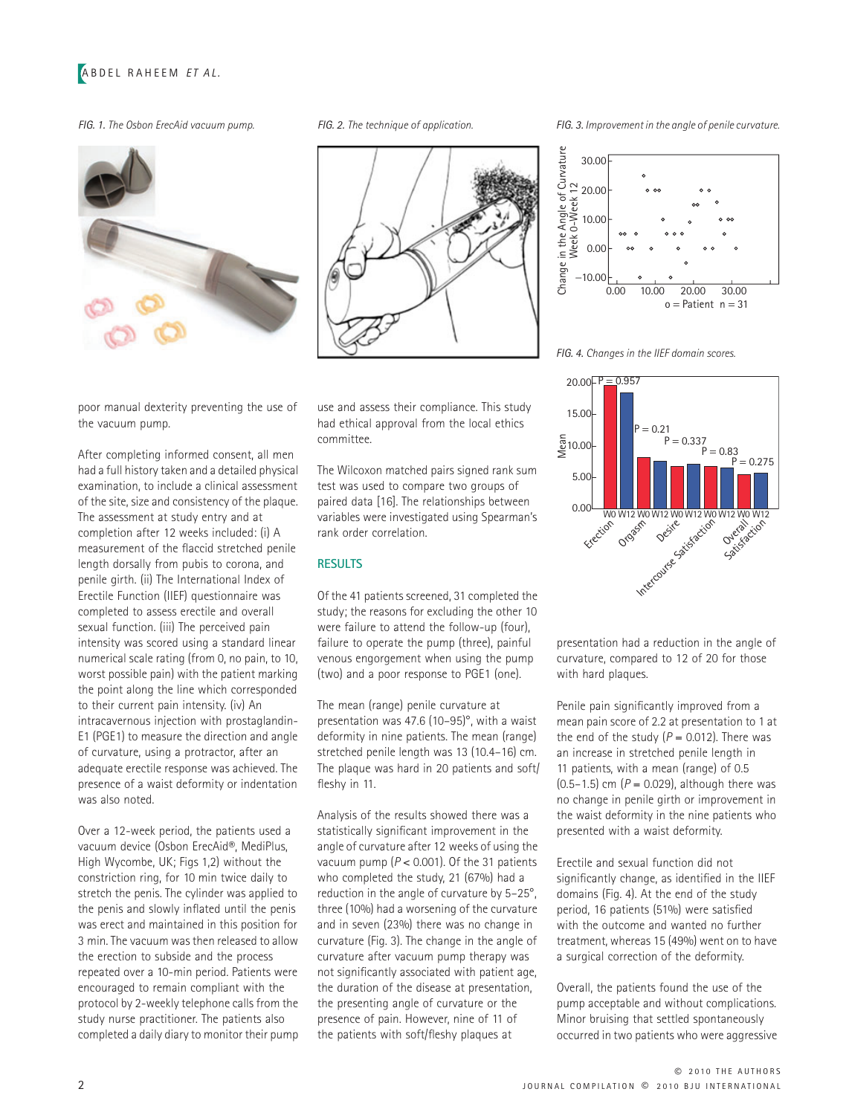# ABDEL RAHEEM *ET AL.*





poor manual dexterity preventing the use of the vacuum pump.

After completing informed consent, all men had a full history taken and a detailed physical examination, to include a clinical assessment of the site, size and consistency of the plaque. The assessment at study entry and at completion after 12 weeks included: (i) A measurement of the flaccid stretched penile length dorsally from pubis to corona, and penile girth. (ii) The International Index of Erectile Function (IIEF) questionnaire was completed to assess erectile and overall sexual function. (iii) The perceived pain intensity was scored using a standard linear numerical scale rating (from 0, no pain, to 10, worst possible pain) with the patient marking the point along the line which corresponded to their current pain intensity. (iv) An intracavernous injection with prostaglandin-E1 (PGE1) to measure the direction and angle of curvature, using a protractor, after an adequate erectile response was achieved. The presence of a waist deformity or indentation was also noted.

Over a 12-week period, the patients used a vacuum device (Osbon ErecAid®, MediPlus, High Wycombe, UK; Figs 1,2) without the constriction ring, for 10 min twice daily to stretch the penis. The cylinder was applied to the penis and slowly inflated until the penis was erect and maintained in this position for 3 min. The vacuum was then released to allow the erection to subside and the process repeated over a 10-min period. Patients were encouraged to remain compliant with the protocol by 2-weekly telephone calls from the study nurse practitioner. The patients also completed a daily diary to monitor their pump use and assess their compliance. This study had ethical approval from the local ethics committee.

The Wilcoxon matched pairs signed rank sum test was used to compare two groups of paired data [16]. The relationships between variables were investigated using Spearman's rank order correlation.

#### **RESULTS**

Of the 41 patients screened, 31 completed the study; the reasons for excluding the other 10 were failure to attend the follow-up (four), failure to operate the pump (three), painful venous engorgement when using the pump (two) and a poor response to PGE1 (one).

The mean (range) penile curvature at presentation was 47.6 (10–95)°, with a waist deformity in nine patients. The mean (range) stretched penile length was 13 (10.4–16) cm. The plaque was hard in 20 patients and soft/ fleshy in 11.

Analysis of the results showed there was a statistically significant improvement in the angle of curvature after 12 weeks of using the vacuum pump (*P* < 0.001). Of the 31 patients who completed the study, 21 (67%) had a reduction in the angle of curvature by 5–25°, three (10%) had a worsening of the curvature and in seven (23%) there was no change in curvature (Fig. 3). The change in the angle of curvature after vacuum pump therapy was not significantly associated with patient age, the duration of the disease at presentation, the presenting angle of curvature or the presence of pain. However, nine of 11 of the patients with soft/fleshy plaques at

*FIG. 1. The Osbon ErecAid vacuum pump. FIG. 2. The technique of application. FIG. 3. Improvement in the angle of penile curvature.*



*FIG. 4. Changes in the IIEF domain scores.*



presentation had a reduction in the angle of curvature, compared to 12 of 20 for those with hard plaques.

Penile pain significantly improved from a mean pain score of 2.2 at presentation to 1 at the end of the study  $(P = 0.012)$ . There was an increase in stretched penile length in 11 patients, with a mean (range) of 0.5 (0.5–1.5) cm ( $P = 0.029$ ), although there was no change in penile girth or improvement in the waist deformity in the nine patients who presented with a waist deformity.

Erectile and sexual function did not significantly change, as identified in the IIEF domains (Fig. 4). At the end of the study period, 16 patients (51%) were satisfied with the outcome and wanted no further treatment, whereas 15 (49%) went on to have a surgical correction of the deformity.

Overall, the patients found the use of the pump acceptable and without complications. Minor bruising that settled spontaneously occurred in two patients who were aggressive